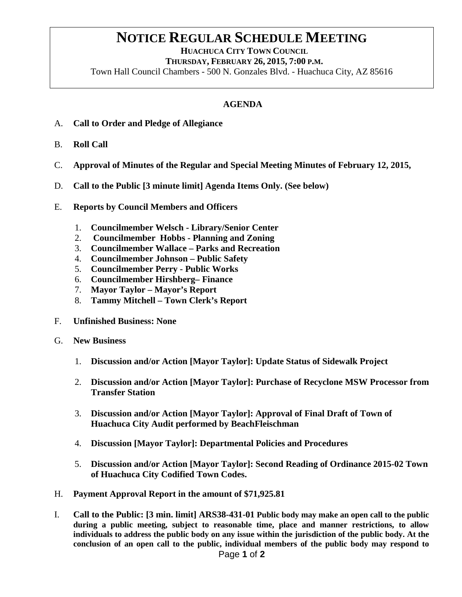## **NOTICE REGULAR SCHEDULE MEETING**<br>HUACHUCA CITY TOWN COUNCIL

 **THURSDAY, FEBRUARY 26, 2015, 7:00 P.M.** Town Hall Council Chambers - 500 N. Gonzales Blvd. - Huachuca City, AZ 85616

## **AGENDA**

- A. **Call to Order and Pledge of Allegiance**
- B. **Roll Call**
- C. **Approval of Minutes of the Regular and Special Meeting Minutes of February 12, 2015,**
- D. **Call to the Public [3 minute limit] Agenda Items Only. (See below)**
- E. **Reports by Council Members and Officers**
	- 1. **Councilmember Welsch - Library/Senior Center**
	- 2. **Councilmember Hobbs - Planning and Zoning**
	- 3. **Councilmember Wallace – Parks and Recreation**
	- 4. **Councilmember Johnson – Public Safety**
	- 5. **Councilmember Perry - Public Works**
	- 6. **Councilmember Hirshberg– Finance**
	- 7. **Mayor Taylor – Mayor's Report**
	- 8. **Tammy Mitchell – Town Clerk's Report**
- F. **Unfinished Business: None**
- G. **New Business**
	- 1. **Discussion and/or Action [Mayor Taylor]: Update Status of Sidewalk Project**
	- 2. **Discussion and/or Action [Mayor Taylor]: Purchase of Recyclone MSW Processor from Transfer Station**
	- 3. **Discussion and/or Action [Mayor Taylor]: Approval of Final Draft of Town of Huachuca City Audit performed by BeachFleischman**
	- 4. **Discussion [Mayor Taylor]: Departmental Policies and Procedures**
	- 5. **Discussion and/or Action [Mayor Taylor]: Second Reading of Ordinance 2015-02 Town of Huachuca City Codified Town Codes.**
- H. **Payment Approval Report in the amount of \$71,925.81**
- I. **Call to the Public: [3 min. limit] ARS38-431-01 Public body may make an open call to the public during a public meeting, subject to reasonable time, place and manner restrictions, to allow individuals to address the public body on any issue within the jurisdiction of the public body. At the conclusion of an open call to the public, individual members of the public body may respond to**